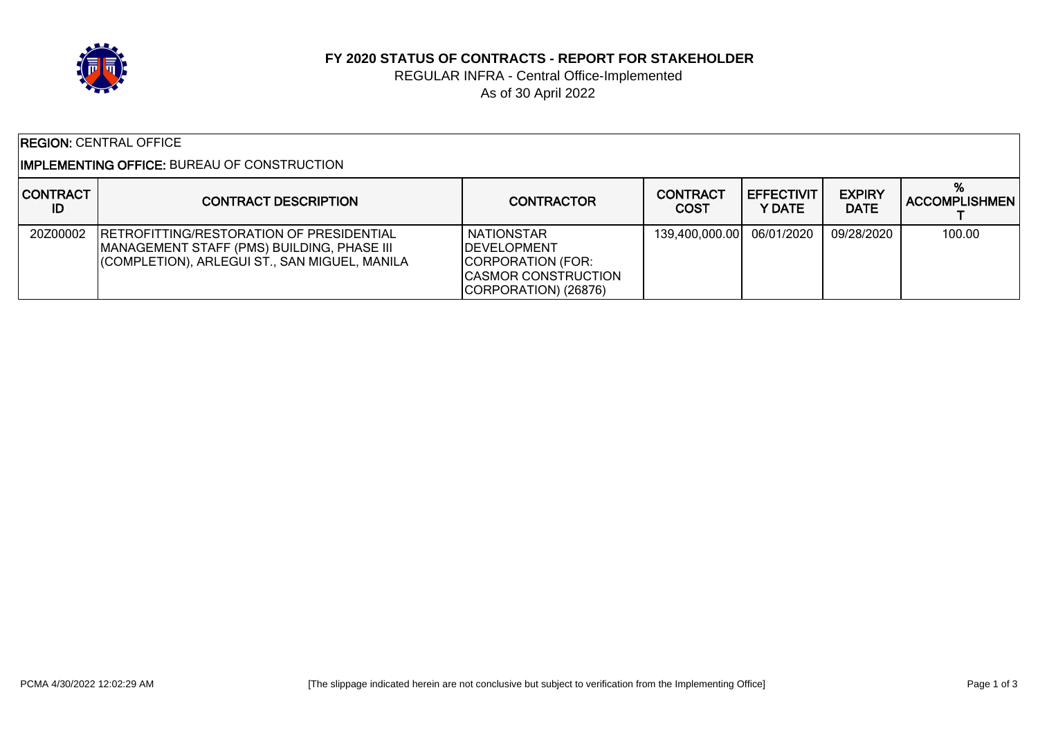

#### **FY 2020 STATUS OF CONTRACTS - REPORT FOR STAKEHOLDER**

### REGULAR INFRA - Central Office-Implemented As of 30 April 2022

| <b>REGION:</b> CENTRAL OFFICE |  |
|-------------------------------|--|
|-------------------------------|--|

#### IMPLEMENTING OFFICE: BUREAU OF CONSTRUCTION

| <b>CONTRACT</b><br>ID | <b>CONTRACT DESCRIPTION</b>                                                                                                                    | <b>CONTRACTOR</b>                                                                                                    | <b>CONTRACT</b><br><b>COST</b> | <b>EFFECTIVIT</b><br>Y DATE | <b>EXPIRY</b><br><b>DATE</b> | %<br><b>ACCOMPLISHMEN</b> |
|-----------------------|------------------------------------------------------------------------------------------------------------------------------------------------|----------------------------------------------------------------------------------------------------------------------|--------------------------------|-----------------------------|------------------------------|---------------------------|
| 20Z00002              | <b>RETROFITTING/RESTORATION OF PRESIDENTIAL</b><br>MANAGEMENT STAFF (PMS) BUILDING, PHASE III<br>(COMPLETION), ARLEGUI ST., SAN MIGUEL, MANILA | <b>NATIONSTAR</b><br><b>IDEVELOPMENT</b><br>CORPORATION (FOR:<br><b>ICASMOR CONSTRUCTION</b><br>CORPORATION) (26876) | 139,400,000.00                 | 06/01/2020                  | 09/28/2020                   | 100.00                    |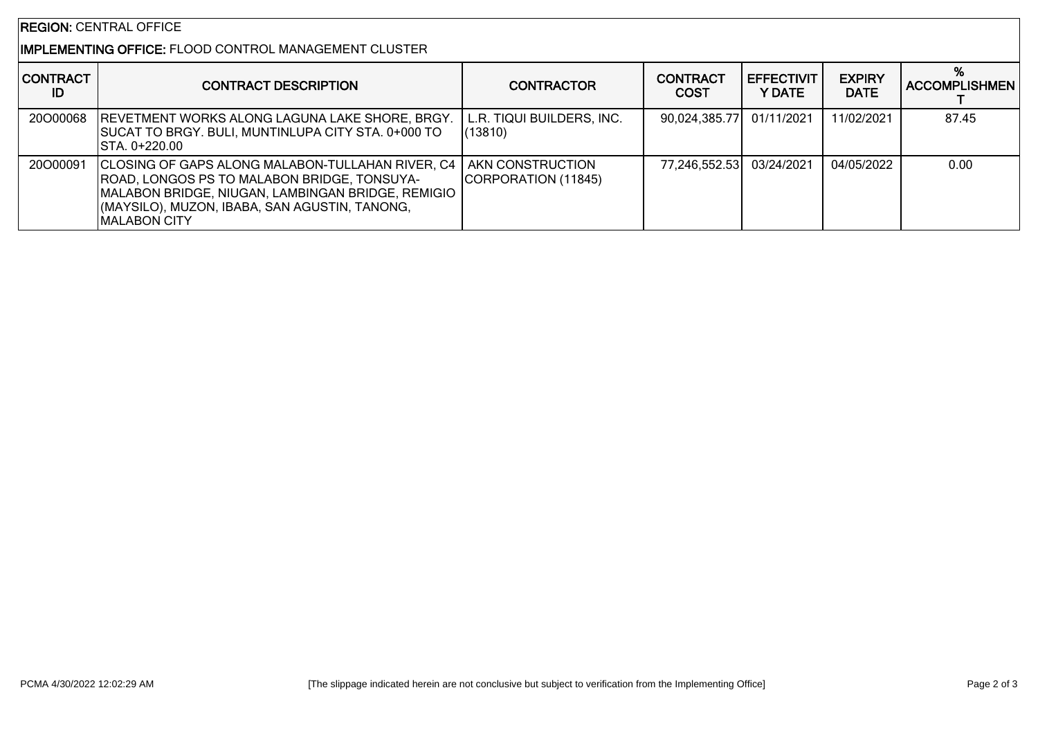### REGION: CENTRAL OFFICE

# IMPLEMENTING OFFICE: FLOOD CONTROL MANAGEMENT CLUSTER

| <b>CONTRACT</b><br>ID | <b>CONTRACT DESCRIPTION</b>                                                                                                                                                                                                                             | <b>CONTRACTOR</b>                    | <b>CONTRACT</b><br><b>COST</b> | <b>LEFFECTIVIT</b><br>Y DATE | <b>EXPIRY</b><br><b>DATE</b> | <b>ACCOMPLISHMEN</b> |
|-----------------------|---------------------------------------------------------------------------------------------------------------------------------------------------------------------------------------------------------------------------------------------------------|--------------------------------------|--------------------------------|------------------------------|------------------------------|----------------------|
| 20000068              | <b>REVETMENT WORKS ALONG LAGUNA LAKE SHORE, BRGY.</b><br><b>SUCAT TO BRGY. BULI, MUNTINLUPA CITY STA. 0+000 TO</b><br>ISTA. 0+220.00                                                                                                                    | L.R. TIQUI BUILDERS, INC.<br>(13810) | 90,024,385.77                  | 01/11/2021                   | 11/02/2021                   | 87.45                |
| 20000091              | CLOSING OF GAPS ALONG MALABON-TULLAHAN RIVER, C4   AKN CONSTRUCTION<br><b>ROAD, LONGOS PS TO MALABON BRIDGE, TONSUYA-</b><br>MALABON BRIDGE, NIUGAN, LAMBINGAN BRIDGE, REMIGIO<br>(MAYSILO), MUZON, IBABA, SAN AGUSTIN, TANONG,<br><b>IMALABON CITY</b> | CORPORATION (11845)                  | 77,246,552.53 03/24/2021       |                              | 04/05/2022                   | 0.00                 |